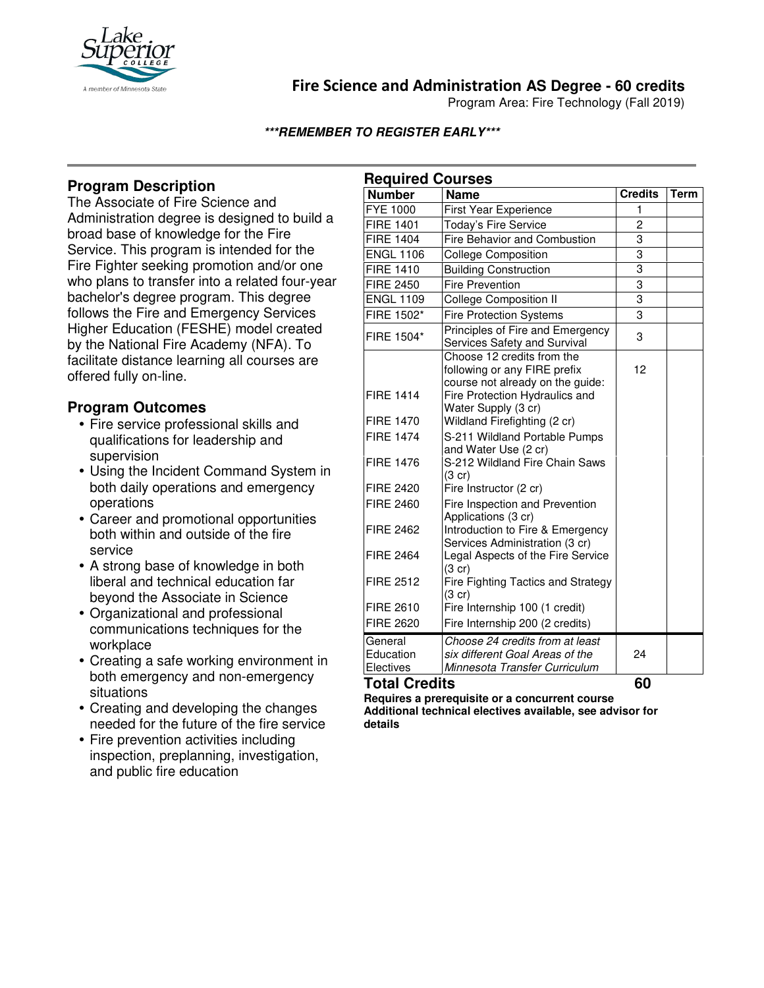

# **Fire Science and Administration AS Degree - 60 credits**

Program Area: Fire Technology (Fall 2019)

#### **\*\*\*REMEMBER TO REGISTER EARLY\*\*\***

## **Program Description**

The Associate of Fire Science and Administration degree is designed to build a broad base of knowledge for the Fire Service. This program is intended for the Fire Fighter seeking promotion and/or one who plans to transfer into a related four-year bachelor's degree program. This degree follows the Fire and Emergency Services Higher Education (FESHE) model created by the National Fire Academy (NFA). To facilitate distance learning all courses are offered fully on-line.

## **Program Outcomes**

- Fire service professional skills and qualifications for leadership and supervision
- Using the Incident Command System in both daily operations and emergency operations
- Career and promotional opportunities both within and outside of the fire service
- A strong base of knowledge in both liberal and technical education far beyond the Associate in Science
- Organizational and professional communications techniques for the workplace
- Creating a safe working environment in both emergency and non-emergency situations
- Creating and developing the changes needed for the future of the fire service
- Fire prevention activities including inspection, preplanning, investigation, and public fire education

| <b>Required Courses</b>           |                                                                                                                                  |                |      |
|-----------------------------------|----------------------------------------------------------------------------------------------------------------------------------|----------------|------|
| <b>Number</b>                     | <b>Name</b>                                                                                                                      | <b>Credits</b> | Term |
| <b>FYE 1000</b>                   | First Year Experience                                                                                                            | 1              |      |
| <b>FIRE 1401</b>                  | Today's Fire Service                                                                                                             | $\overline{c}$ |      |
| <b>FIRE 1404</b>                  | Fire Behavior and Combustion                                                                                                     | 3              |      |
| <b>ENGL 1106</b>                  | <b>College Composition</b>                                                                                                       | 3              |      |
| <b>FIRE 1410</b>                  | <b>Building Construction</b>                                                                                                     | $\overline{3}$ |      |
| <b>FIRE 2450</b>                  | <b>Fire Prevention</b>                                                                                                           | 3              |      |
| <b>ENGL 1109</b>                  | <b>College Composition II</b>                                                                                                    | 3              |      |
| FIRE 1502*                        | <b>Fire Protection Systems</b>                                                                                                   | 3              |      |
| FIRE 1504*                        | Principles of Fire and Emergency<br>Services Safety and Survival                                                                 | 3              |      |
| <b>FIRE 1414</b>                  | Choose 12 credits from the<br>following or any FIRE prefix<br>course not already on the guide:<br>Fire Protection Hydraulics and | 12             |      |
|                                   | Water Supply (3 cr)                                                                                                              |                |      |
| <b>FIRE 1470</b>                  | Wildland Firefighting (2 cr)                                                                                                     |                |      |
| <b>FIRE 1474</b>                  | S-211 Wildland Portable Pumps                                                                                                    |                |      |
| <b>FIRE 1476</b>                  | and Water Use (2 cr)<br>S-212 Wildland Fire Chain Saws<br>$(3 \text{ cr})$                                                       |                |      |
| <b>FIRE 2420</b>                  | Fire Instructor (2 cr)                                                                                                           |                |      |
| <b>FIRE 2460</b>                  | Fire Inspection and Prevention<br>Applications (3 cr)                                                                            |                |      |
| <b>FIRE 2462</b>                  | Introduction to Fire & Emergency<br>Services Administration (3 cr)                                                               |                |      |
| <b>FIRE 2464</b>                  | Legal Aspects of the Fire Service<br>(3 cr)                                                                                      |                |      |
| <b>FIRE 2512</b>                  | Fire Fighting Tactics and Strategy<br>$(3$ cr)                                                                                   |                |      |
| <b>FIRE 2610</b>                  | Fire Internship 100 (1 credit)                                                                                                   |                |      |
| <b>FIRE 2620</b>                  | Fire Internship 200 (2 credits)                                                                                                  |                |      |
| General<br>Education<br>Electives | Choose 24 credits from at least<br>six different Goal Areas of the<br>Minnesota Transfer Curriculum                              | 24             |      |

**Total Credits 60** 

**Requires a prerequisite or a concurrent course Additional technical electives available, see advisor for details**